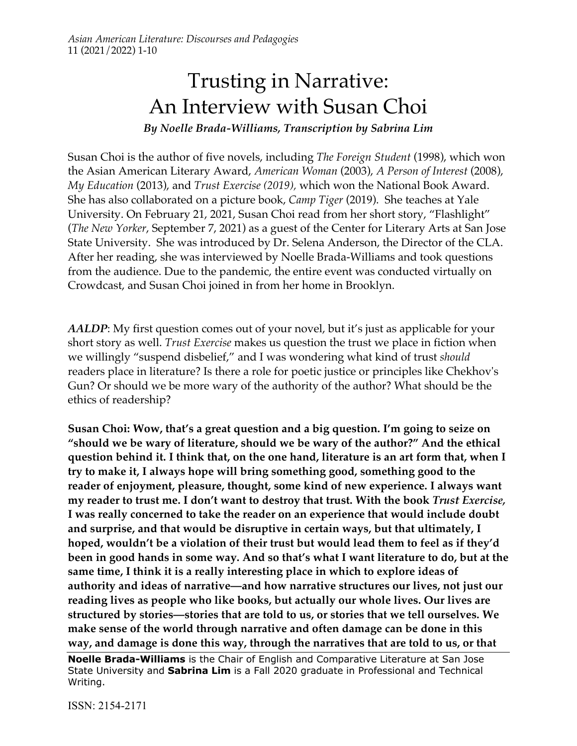# Trusting in Narrative: An Interview with Susan Choi

*By Noelle Brada-Williams, Transcription by Sabrina Lim*

Susan Choi is the author of five novels, including *The Foreign Student* (1998), which won the Asian American Literary Award, *American Woman* (2003), *A Person of Interest* (2008), *My Education* (2013), and *Trust Exercise (2019),* which won the National Book Award. She has also collaborated on a picture book, *Camp Tiger* (2019). She teaches at Yale University. On February 21, 2021, Susan Choi read from her short story, "Flashlight" (*The New Yorker*, September 7, 2021) as a guest of the Center for Literary Arts at San Jose State University. She was introduced by Dr. Selena Anderson, the Director of the CLA. After her reading, she was interviewed by Noelle Brada-Williams and took questions from the audience. Due to the pandemic, the entire event was conducted virtually on Crowdcast, and Susan Choi joined in from her home in Brooklyn.

*AALDP*: My first question comes out of your novel, but it's just as applicable for your short story as well. *Trust Exercise* makes us question the trust we place in fiction when we willingly "suspend disbelief," and I was wondering what kind of trust *should*  readers place in literature? Is there a role for poetic justice or principles like Chekhov's Gun? Or should we be more wary of the authority of the author? What should be the ethics of readership?

**Susan Choi: Wow, that's a great question and a big question. I'm going to seize on "should we be wary of literature, should we be wary of the author?" And the ethical question behind it. I think that, on the one hand, literature is an art form that, when I try to make it, I always hope will bring something good, something good to the reader of enjoyment, pleasure, thought, some kind of new experience. I always want my reader to trust me. I don't want to destroy that trust. With the book** *Trust Exercise,*  **I was really concerned to take the reader on an experience that would include doubt and surprise, and that would be disruptive in certain ways, but that ultimately, I hoped, wouldn't be a violation of their trust but would lead them to feel as if they'd been in good hands in some way. And so that's what I want literature to do, but at the same time, I think it is a really interesting place in which to explore ideas of authority and ideas of narrative—and how narrative structures our lives, not just our reading lives as people who like books, but actually our whole lives. Our lives are structured by stories—stories that are told to us, or stories that we tell ourselves. We make sense of the world through narrative and often damage can be done in this way, and damage is done this way, through the narratives that are told to us, or that** 

**Noelle Brada-Williams** is the Chair of English and Comparative Literature at San Jose State University and **Sabrina Lim** is a Fall 2020 graduate in Professional and Technical Writing.

ISSN: 2154-2171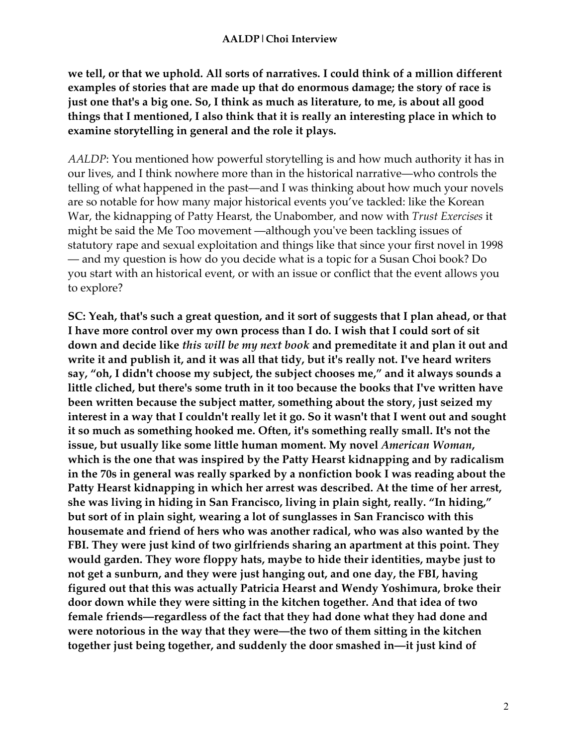**we tell, or that we uphold. All sorts of narratives. I could think of a million different examples of stories that are made up that do enormous damage; the story of race is just one that's a big one. So, I think as much as literature, to me, is about all good things that I mentioned, I also think that it is really an interesting place in which to examine storytelling in general and the role it plays.**

*AALDP*: You mentioned how powerful storytelling is and how much authority it has in our lives, and I think nowhere more than in the historical narrative—who controls the telling of what happened in the past—and I was thinking about how much your novels are so notable for how many major historical events you've tackled: like the Korean War, the kidnapping of Patty Hearst, the Unabomber, and now with *Trust Exercises* it might be said the Me Too movement —although you've been tackling issues of statutory rape and sexual exploitation and things like that since your first novel in 1998 — and my question is how do you decide what is a topic for a Susan Choi book? Do you start with an historical event, or with an issue or conflict that the event allows you to explore?

**SC: Yeah, that's such a great question, and it sort of suggests that I plan ahead, or that I have more control over my own process than I do. I wish that I could sort of sit down and decide like** *this will be my next book* **and premeditate it and plan it out and write it and publish it, and it was all that tidy, but it's really not. I've heard writers say, "oh, I didn't choose my subject, the subject chooses me," and it always sounds a little cliched, but there's some truth in it too because the books that I've written have been written because the subject matter, something about the story, just seized my interest in a way that I couldn't really let it go. So it wasn't that I went out and sought it so much as something hooked me. Often, it's something really small. It's not the issue, but usually like some little human moment. My novel** *American Woman***, which is the one that was inspired by the Patty Hearst kidnapping and by radicalism in the 70s in general was really sparked by a nonfiction book I was reading about the Patty Hearst kidnapping in which her arrest was described. At the time of her arrest, she was living in hiding in San Francisco, living in plain sight, really. "In hiding," but sort of in plain sight, wearing a lot of sunglasses in San Francisco with this housemate and friend of hers who was another radical, who was also wanted by the FBI. They were just kind of two girlfriends sharing an apartment at this point. They would garden. They wore floppy hats, maybe to hide their identities, maybe just to not get a sunburn, and they were just hanging out, and one day, the FBI, having figured out that this was actually Patricia Hearst and Wendy Yoshimura, broke their door down while they were sitting in the kitchen together. And that idea of two female friends—regardless of the fact that they had done what they had done and were notorious in the way that they were—the two of them sitting in the kitchen together just being together, and suddenly the door smashed in—it just kind of**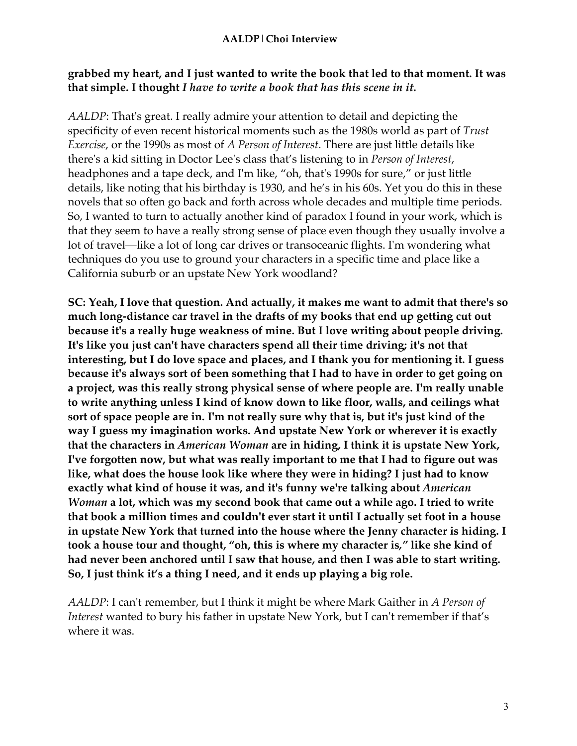## **grabbed my heart, and I just wanted to write the book that led to that moment. It was that simple. I thought** *I have to write a book that has this scene in it.*

*AALDP*: That's great. I really admire your attention to detail and depicting the specificity of even recent historical moments such as the 1980s world as part of *Trust Exercise*, or the 1990s as most of *A Person of Interest*. There are just little details like there's a kid sitting in Doctor Lee's class that's listening to in *Person of Interest*, headphones and a tape deck, and I'm like, "oh, that's 1990s for sure," or just little details, like noting that his birthday is 1930, and he's in his 60s. Yet you do this in these novels that so often go back and forth across whole decades and multiple time periods. So, I wanted to turn to actually another kind of paradox I found in your work, which is that they seem to have a really strong sense of place even though they usually involve a lot of travel—like a lot of long car drives or transoceanic flights. I'm wondering what techniques do you use to ground your characters in a specific time and place like a California suburb or an upstate New York woodland?

**SC: Yeah, I love that question. And actually, it makes me want to admit that there's so much long-distance car travel in the drafts of my books that end up getting cut out because it's a really huge weakness of mine. But I love writing about people driving. It's like you just can't have characters spend all their time driving; it's not that interesting, but I do love space and places, and I thank you for mentioning it. I guess because it's always sort of been something that I had to have in order to get going on a project, was this really strong physical sense of where people are. I'm really unable to write anything unless I kind of know down to like floor, walls, and ceilings what sort of space people are in. I'm not really sure why that is, but it's just kind of the way I guess my imagination works. And upstate New York or wherever it is exactly that the characters in** *American Woman* **are in hiding, I think it is upstate New York, I've forgotten now, but what was really important to me that I had to figure out was like, what does the house look like where they were in hiding? I just had to know exactly what kind of house it was, and it's funny we're talking about** *American Woman* **a lot, which was my second book that came out a while ago. I tried to write that book a million times and couldn't ever start it until I actually set foot in a house in upstate New York that turned into the house where the Jenny character is hiding. I took a house tour and thought, "oh, this is where my character is***,"* **like she kind of had never been anchored until I saw that house, and then I was able to start writing. So, I just think it's a thing I need, and it ends up playing a big role.**

*AALDP*: I can't remember, but I think it might be where Mark Gaither in *A Person of Interest* wanted to bury his father in upstate New York, but I can't remember if that's where it was.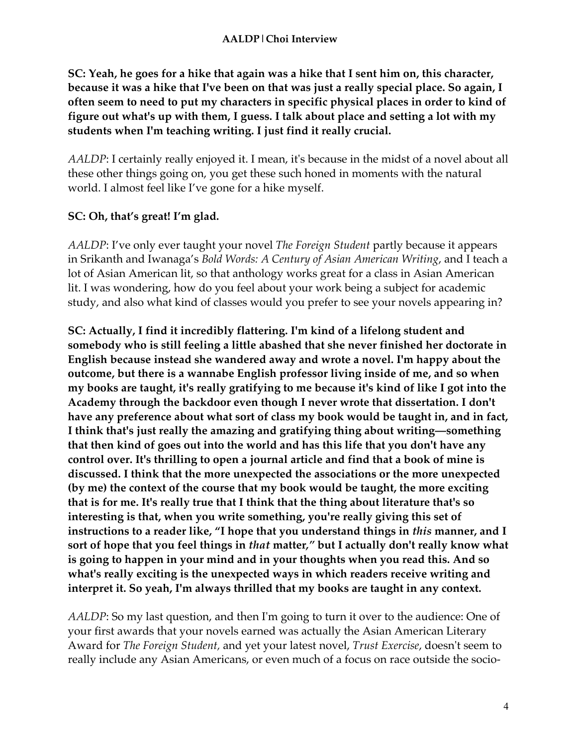**SC: Yeah, he goes for a hike that again was a hike that I sent him on, this character, because it was a hike that I've been on that was just a really special place. So again, I often seem to need to put my characters in specific physical places in order to kind of figure out what's up with them, I guess. I talk about place and setting a lot with my students when I'm teaching writing. I just find it really crucial.**

*AALDP*: I certainly really enjoyed it. I mean, it's because in the midst of a novel about all these other things going on, you get these such honed in moments with the natural world. I almost feel like I've gone for a hike myself.

## **SC: Oh, that's great! I'm glad.**

*AALDP*: I've only ever taught your novel *The Foreign Student* partly because it appears in Srikanth and Iwanaga's *Bold Words: A Century of Asian American Writing*, and I teach a lot of Asian American lit, so that anthology works great for a class in Asian American lit. I was wondering, how do you feel about your work being a subject for academic study, and also what kind of classes would you prefer to see your novels appearing in?

**SC: Actually, I find it incredibly flattering. I'm kind of a lifelong student and somebody who is still feeling a little abashed that she never finished her doctorate in English because instead she wandered away and wrote a novel. I'm happy about the outcome, but there is a wannabe English professor living inside of me, and so when my books are taught, it's really gratifying to me because it's kind of like I got into the Academy through the backdoor even though I never wrote that dissertation. I don't have any preference about what sort of class my book would be taught in, and in fact, I think that's just really the amazing and gratifying thing about writing—something that then kind of goes out into the world and has this life that you don't have any control over. It's thrilling to open a journal article and find that a book of mine is discussed. I think that the more unexpected the associations or the more unexpected (by me) the context of the course that my book would be taught, the more exciting that is for me. It's really true that I think that the thing about literature that's so interesting is that, when you write something, you're really giving this set of instructions to a reader like, "I hope that you understand things in** *this* **manner, and I sort of hope that you feel things in** *that* **matter***,"* **but I actually don't really know what is going to happen in your mind and in your thoughts when you read this. And so what's really exciting is the unexpected ways in which readers receive writing and interpret it. So yeah, I'm always thrilled that my books are taught in any context.**

*AALDP*: So my last question, and then I'm going to turn it over to the audience: One of your first awards that your novels earned was actually the Asian American Literary Award for *The Foreign Student,* and yet your latest novel, *Trust Exercise*, doesn't seem to really include any Asian Americans, or even much of a focus on race outside the socio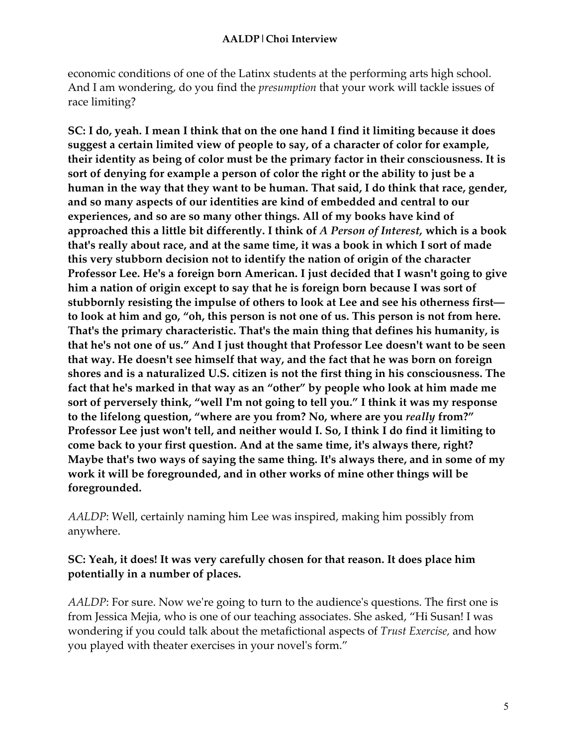economic conditions of one of the Latinx students at the performing arts high school. And I am wondering, do you find the *presumption* that your work will tackle issues of race limiting?

**SC: I do, yeah. I mean I think that on the one hand I find it limiting because it does suggest a certain limited view of people to say, of a character of color for example, their identity as being of color must be the primary factor in their consciousness. It is sort of denying for example a person of color the right or the ability to just be a human in the way that they want to be human. That said, I do think that race, gender, and so many aspects of our identities are kind of embedded and central to our experiences, and so are so many other things. All of my books have kind of approached this a little bit differently. I think of** *A Person of Interest,* **which is a book that's really about race, and at the same time, it was a book in which I sort of made this very stubborn decision not to identify the nation of origin of the character Professor Lee. He's a foreign born American. I just decided that I wasn't going to give him a nation of origin except to say that he is foreign born because I was sort of stubbornly resisting the impulse of others to look at Lee and see his otherness first to look at him and go, "oh, this person is not one of us. This person is not from here. That's the primary characteristic. That's the main thing that defines his humanity, is that he's not one of us." And I just thought that Professor Lee doesn't want to be seen that way. He doesn't see himself that way, and the fact that he was born on foreign shores and is a naturalized U.S. citizen is not the first thing in his consciousness. The fact that he's marked in that way as an "other" by people who look at him made me sort of perversely think, "well I'm not going to tell you." I think it was my response to the lifelong question, "where are you from? No, where are you** *really* **from?" Professor Lee just won't tell, and neither would I. So, I think I do find it limiting to come back to your first question. And at the same time, it's always there, right? Maybe that's two ways of saying the same thing. It's always there, and in some of my work it will be foregrounded, and in other works of mine other things will be foregrounded.**

*AALDP*: Well, certainly naming him Lee was inspired, making him possibly from anywhere.

## **SC: Yeah, it does! It was very carefully chosen for that reason. It does place him potentially in a number of places.**

*AALDP*: For sure. Now we're going to turn to the audience's questions. The first one is from Jessica Mejia, who is one of our teaching associates. She asked, "Hi Susan! I was wondering if you could talk about the metafictional aspects of *Trust Exercise,* and how you played with theater exercises in your novel's form."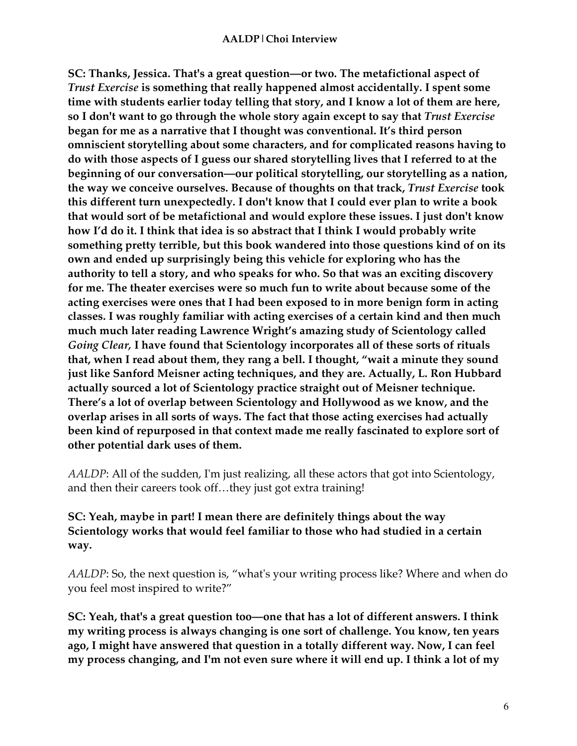#### **AALDP|Choi Interview**

**SC: Thanks, Jessica. That's a great question—or two. The metafictional aspect of**  *Trust Exercise* **is something that really happened almost accidentally. I spent some time with students earlier today telling that story, and I know a lot of them are here, so I don't want to go through the whole story again except to say that** *Trust Exercise* **began for me as a narrative that I thought was conventional. It's third person omniscient storytelling about some characters, and for complicated reasons having to do with those aspects of I guess our shared storytelling lives that I referred to at the beginning of our conversation—our political storytelling, our storytelling as a nation, the way we conceive ourselves. Because of thoughts on that track,** *Trust Exercise* **took this different turn unexpectedly. I don't know that I could ever plan to write a book that would sort of be metafictional and would explore these issues. I just don't know how I'd do it. I think that idea is so abstract that I think I would probably write something pretty terrible, but this book wandered into those questions kind of on its own and ended up surprisingly being this vehicle for exploring who has the authority to tell a story, and who speaks for who. So that was an exciting discovery for me. The theater exercises were so much fun to write about because some of the acting exercises were ones that I had been exposed to in more benign form in acting classes. I was roughly familiar with acting exercises of a certain kind and then much much much later reading Lawrence Wright's amazing study of Scientology called**  *Going Clear,* **I have found that Scientology incorporates all of these sorts of rituals that, when I read about them, they rang a bell. I thought, "wait a minute they sound just like Sanford Meisner acting techniques, and they are. Actually, L. Ron Hubbard actually sourced a lot of Scientology practice straight out of Meisner technique. There's a lot of overlap between Scientology and Hollywood as we know, and the overlap arises in all sorts of ways. The fact that those acting exercises had actually been kind of repurposed in that context made me really fascinated to explore sort of other potential dark uses of them.**

*AALDP*: All of the sudden, I'm just realizing, all these actors that got into Scientology, and then their careers took off...they just got extra training!

## **SC: Yeah, maybe in part! I mean there are definitely things about the way Scientology works that would feel familiar to those who had studied in a certain way.**

*AALDP*: So, the next question is, "what's your writing process like? Where and when do you feel most inspired to write?"

**SC: Yeah, that's a great question too—one that has a lot of different answers. I think my writing process is always changing is one sort of challenge. You know, ten years ago, I might have answered that question in a totally different way. Now, I can feel my process changing, and I'm not even sure where it will end up. I think a lot of my**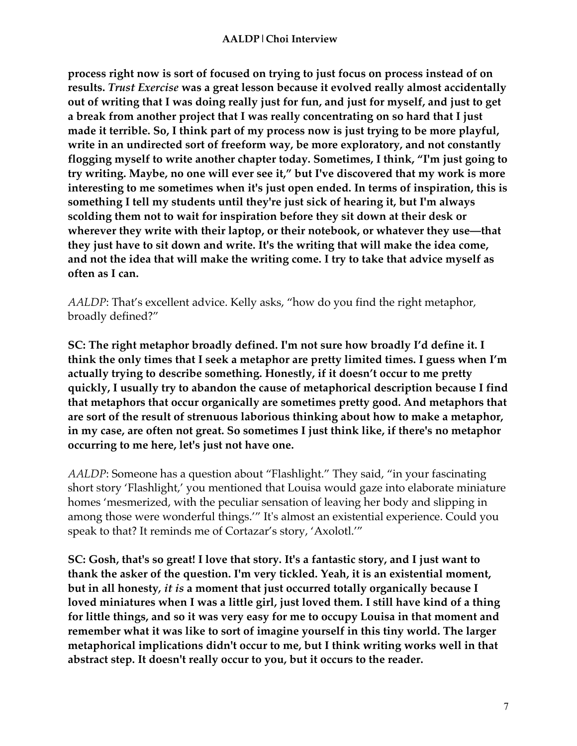**process right now is sort of focused on trying to just focus on process instead of on results.** *Trust Exercise* **was a great lesson because it evolved really almost accidentally out of writing that I was doing really just for fun, and just for myself, and just to get a break from another project that I was really concentrating on so hard that I just made it terrible. So, I think part of my process now is just trying to be more playful, write in an undirected sort of freeform way, be more exploratory, and not constantly flogging myself to write another chapter today. Sometimes, I think, "I'm just going to try writing. Maybe, no one will ever see it," but I've discovered that my work is more interesting to me sometimes when it's just open ended. In terms of inspiration, this is something I tell my students until they're just sick of hearing it, but I'm always scolding them not to wait for inspiration before they sit down at their desk or wherever they write with their laptop, or their notebook, or whatever they use—that they just have to sit down and write. It's the writing that will make the idea come, and not the idea that will make the writing come. I try to take that advice myself as often as I can.**

*AALDP*: That's excellent advice. Kelly asks, "how do you find the right metaphor, broadly defined?"

**SC: The right metaphor broadly defined. I'm not sure how broadly I'd define it. I think the only times that I seek a metaphor are pretty limited times. I guess when I'm actually trying to describe something. Honestly, if it doesn't occur to me pretty quickly, I usually try to abandon the cause of metaphorical description because I find that metaphors that occur organically are sometimes pretty good. And metaphors that are sort of the result of strenuous laborious thinking about how to make a metaphor, in my case, are often not great. So sometimes I just think like, if there's no metaphor occurring to me here, let's just not have one.**

*AALDP*: Someone has a question about "Flashlight." They said, "in your fascinating short story 'Flashlight,' you mentioned that Louisa would gaze into elaborate miniature homes 'mesmerized, with the peculiar sensation of leaving her body and slipping in among those were wonderful things.'" It's almost an existential experience. Could you speak to that? It reminds me of Cortazar's story, 'Axolotl.'"

**SC: Gosh, that's so great! I love that story. It's a fantastic story, and I just want to thank the asker of the question. I'm very tickled. Yeah, it is an existential moment, but in all honesty***, it is* **a moment that just occurred totally organically because I loved miniatures when I was a little girl, just loved them. I still have kind of a thing for little things, and so it was very easy for me to occupy Louisa in that moment and remember what it was like to sort of imagine yourself in this tiny world. The larger metaphorical implications didn't occur to me, but I think writing works well in that abstract step. It doesn't really occur to you, but it occurs to the reader.**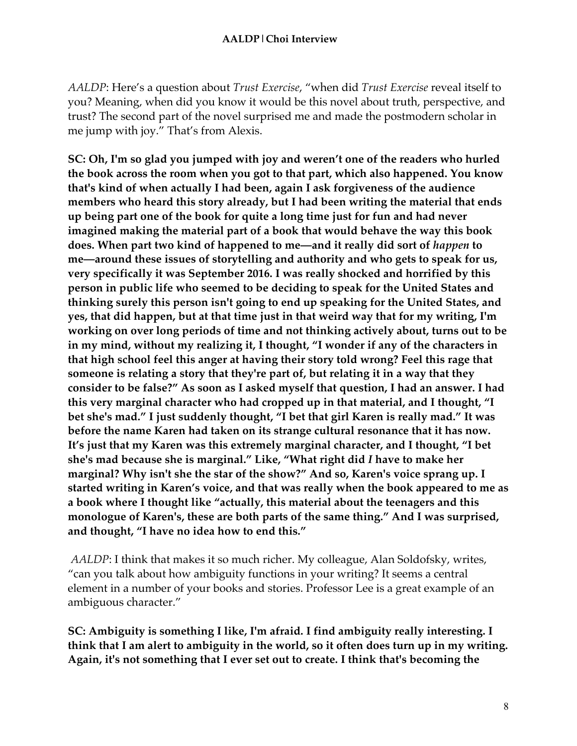*AALDP*: Here's a question about *Trust Exercise*, "when did *Trust Exercise* reveal itself to you? Meaning, when did you know it would be this novel about truth, perspective, and trust? The second part of the novel surprised me and made the postmodern scholar in me jump with joy." That's from Alexis.

**SC: Oh, I'm so glad you jumped with joy and weren't one of the readers who hurled the book across the room when you got to that part, which also happened. You know that's kind of when actually I had been, again I ask forgiveness of the audience members who heard this story already, but I had been writing the material that ends up being part one of the book for quite a long time just for fun and had never imagined making the material part of a book that would behave the way this book does. When part two kind of happened to me—and it really did sort of** *happen* **to me—around these issues of storytelling and authority and who gets to speak for us, very specifically it was September 2016. I was really shocked and horrified by this person in public life who seemed to be deciding to speak for the United States and thinking surely this person isn't going to end up speaking for the United States, and yes, that did happen, but at that time just in that weird way that for my writing, I'm working on over long periods of time and not thinking actively about, turns out to be in my mind, without my realizing it, I thought, "I wonder if any of the characters in that high school feel this anger at having their story told wrong? Feel this rage that someone is relating a story that they're part of, but relating it in a way that they consider to be false?" As soon as I asked myself that question, I had an answer. I had this very marginal character who had cropped up in that material, and I thought, "I bet she's mad." I just suddenly thought, "I bet that girl Karen is really mad." It was before the name Karen had taken on its strange cultural resonance that it has now. It's just that my Karen was this extremely marginal character, and I thought, "I bet she's mad because she is marginal." Like, "What right did** *I* **have to make her marginal? Why isn't she the star of the show?" And so, Karen's voice sprang up. I started writing in Karen's voice, and that was really when the book appeared to me as a book where I thought like "actually, this material about the teenagers and this monologue of Karen's, these are both parts of the same thing." And I was surprised, and thought, "I have no idea how to end this."**

*AALDP*: I think that makes it so much richer. My colleague, Alan Soldofsky, writes, "can you talk about how ambiguity functions in your writing? It seems a central element in a number of your books and stories. Professor Lee is a great example of an ambiguous character."

**SC: Ambiguity is something I like, I'm afraid. I find ambiguity really interesting. I think that I am alert to ambiguity in the world, so it often does turn up in my writing. Again, it's not something that I ever set out to create. I think that's becoming the**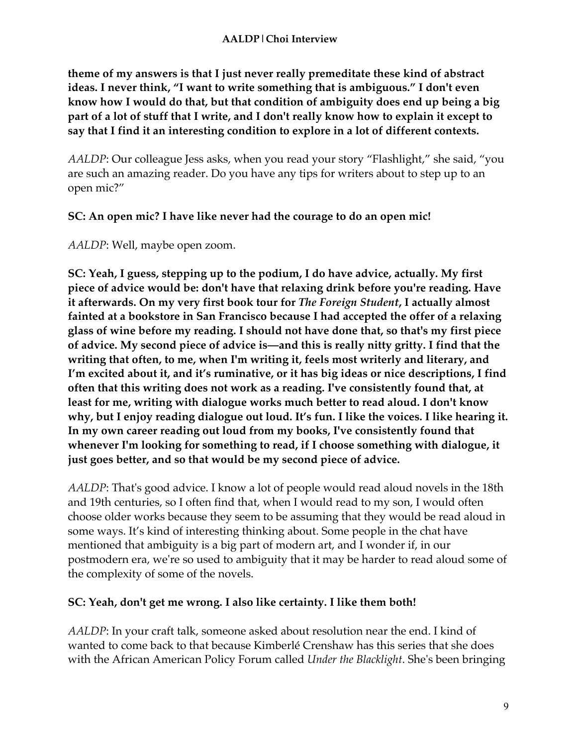**theme of my answers is that I just never really premeditate these kind of abstract ideas. I never think, "I want to write something that is ambiguous." I don't even know how I would do that, but that condition of ambiguity does end up being a big part of a lot of stuff that I write, and I don't really know how to explain it except to say that I find it an interesting condition to explore in a lot of different contexts.**

*AALDP*: Our colleague Jess asks, when you read your story "Flashlight," she said, "you are such an amazing reader. Do you have any tips for writers about to step up to an open mic?"

## **SC: An open mic? I have like never had the courage to do an open mic!**

*AALDP*: Well, maybe open zoom.

**SC: Yeah, I guess, stepping up to the podium, I do have advice, actually. My first piece of advice would be: don't have that relaxing drink before you're reading. Have it afterwards. On my very first book tour for** *The Foreign Student***, I actually almost fainted at a bookstore in San Francisco because I had accepted the offer of a relaxing glass of wine before my reading. I should not have done that, so that's my first piece of advice. My second piece of advice is—and this is really nitty gritty. I find that the writing that often, to me, when I'm writing it, feels most writerly and literary, and I'm excited about it, and it's ruminative, or it has big ideas or nice descriptions, I find often that this writing does not work as a reading. I've consistently found that, at least for me, writing with dialogue works much better to read aloud. I don't know why, but I enjoy reading dialogue out loud. It's fun. I like the voices. I like hearing it. In my own career reading out loud from my books, I've consistently found that whenever I'm looking for something to read, if I choose something with dialogue, it just goes better, and so that would be my second piece of advice.**

*AALDP*: That's good advice. I know a lot of people would read aloud novels in the 18th and 19th centuries, so I often find that, when I would read to my son, I would often choose older works because they seem to be assuming that they would be read aloud in some ways. It's kind of interesting thinking about. Some people in the chat have mentioned that ambiguity is a big part of modern art, and I wonder if, in our postmodern era, we're so used to ambiguity that it may be harder to read aloud some of the complexity of some of the novels.

## **SC: Yeah, don't get me wrong. I also like certainty. I like them both!**

*AALDP*: In your craft talk, someone asked about resolution near the end. I kind of wanted to come back to that because Kimberlé Crenshaw has this series that she does with the African American Policy Forum called *Under the Blacklight*. She's been bringing